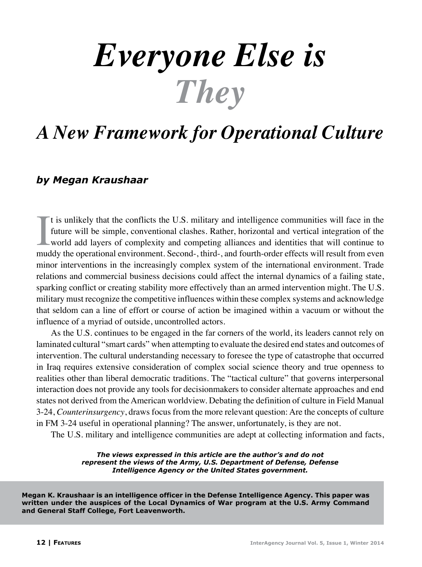# *Everyone Else is They*

## *A New Framework for Operational Culture*

### *by Megan Kraushaar*

It is unlikely that the conflicts the U.S. military and intelligence communities will face in the future will be simple, conventional clashes. Rather, horizontal and vertical integration of the world add layers of complexi t is unlikely that the conflicts the U.S. military and intelligence communities will face in the future will be simple, conventional clashes. Rather, horizontal and vertical integration of the world add layers of complexity and competing alliances and identities that will continue to minor interventions in the increasingly complex system of the international environment. Trade relations and commercial business decisions could affect the internal dynamics of a failing state, sparking conflict or creating stability more effectively than an armed intervention might. The U.S. military must recognize the competitive influences within these complex systems and acknowledge that seldom can a line of effort or course of action be imagined within a vacuum or without the influence of a myriad of outside, uncontrolled actors.

As the U.S. continues to be engaged in the far corners of the world, its leaders cannot rely on laminated cultural "smart cards" when attempting to evaluate the desired end states and outcomes of intervention. The cultural understanding necessary to foresee the type of catastrophe that occurred in Iraq requires extensive consideration of complex social science theory and true openness to realities other than liberal democratic traditions. The "tactical culture" that governs interpersonal interaction does not provide any tools for decisionmakers to consider alternate approaches and end states not derived from the American worldview. Debating the definition of culture in Field Manual 3-24, *Counterinsurgency*, draws focus from the more relevant question: Are the concepts of culture in FM 3-24 useful in operational planning? The answer, unfortunately, is they are not.

The U.S. military and intelligence communities are adept at collecting information and facts,

*The views expressed in this article are the author's and do not represent the views of the Army, U.S. Department of Defense, Defense Intelligence Agency or the United States government.*

**Megan K. Kraushaar is an intelligence officer in the Defense Intelligence Agency. This paper was written under the auspices of the Local Dynamics of War program at the U.S. Army Command and General Staff College, Fort Leavenworth.**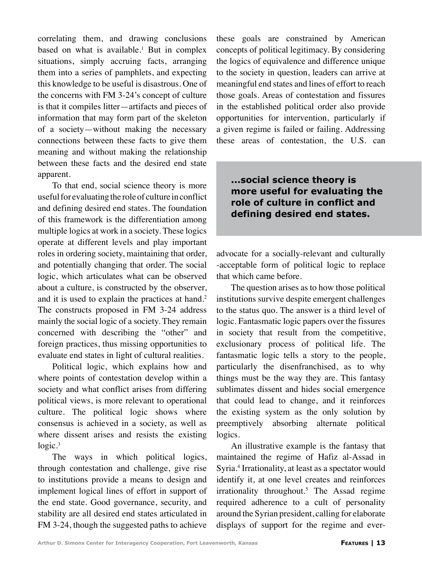correlating them, and drawing conclusions based on what is available.<sup>1</sup> But in complex situations, simply accruing facts, arranging them into a series of pamphlets, and expecting this knowledge to be useful is disastrous. One of the concerns with FM 3-24's concept of culture is that it compiles litter—artifacts and pieces of information that may form part of the skeleton of a society—without making the necessary connections between these facts to give them meaning and without making the relationship between these facts and the desired end state apparent.

To that end, social science theory is more useful for evaluating the role of culture in conflict and defining desired end states. The foundation of this framework is the differentiation among multiple logics at work in a society. These logics operate at different levels and play important roles in ordering society, maintaining that order, and potentially changing that order. The social logic, which articulates what can be observed about a culture, is constructed by the observer, and it is used to explain the practices at hand.<sup>2</sup> The constructs proposed in FM 3-24 address mainly the social logic of a society. They remain concerned with describing the "other" and foreign practices, thus missing opportunities to evaluate end states in light of cultural realities.

Political logic, which explains how and where points of contestation develop within a society and what conflict arises from differing political views, is more relevant to operational culture. The political logic shows where consensus is achieved in a society, as well as where dissent arises and resists the existing  $logic.<sup>3</sup>$ 

The ways in which political logics, through contestation and challenge, give rise to institutions provide a means to design and implement logical lines of effort in support of the end state. Good governance, security, and stability are all desired end states articulated in FM 3-24, though the suggested paths to achieve these goals are constrained by American concepts of political legitimacy. By considering the logics of equivalence and difference unique to the society in question, leaders can arrive at meaningful end states and lines of effort to reach those goals. Areas of contestation and fissures in the established political order also provide opportunities for intervention, particularly if a given regime is failed or failing. Addressing these areas of contestation, the U.S. can

#### **...social science theory is more useful for evaluating the role of culture in conflict and defining desired end states.**

advocate for a socially-relevant and culturally -acceptable form of political logic to replace that which came before.

The question arises as to how those political institutions survive despite emergent challenges to the status quo. The answer is a third level of logic. Fantasmatic logic papers over the fissures in society that result from the competitive, exclusionary process of political life. The fantasmatic logic tells a story to the people, particularly the disenfranchised, as to why things must be the way they are. This fantasy sublimates dissent and hides social emergence that could lead to change, and it reinforces the existing system as the only solution by preemptively absorbing alternate political logics.

An illustrative example is the fantasy that maintained the regime of Hafiz al-Assad in Syria.4 Irrationality, at least as a spectator would identify it, at one level creates and reinforces irrationality throughout.5 The Assad regime required adherence to a cult of personality around the Syrian president, calling for elaborate displays of support for the regime and ever-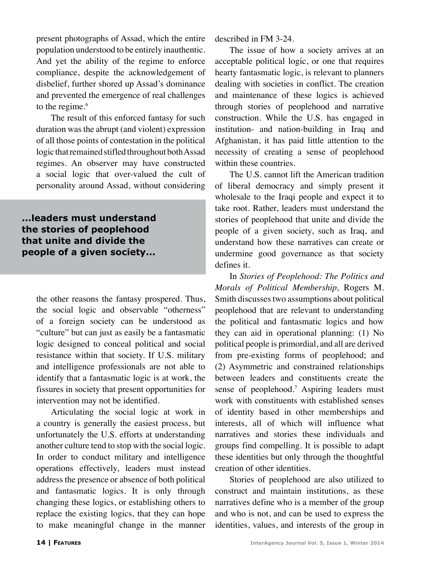present photographs of Assad, which the entire population understood to be entirely inauthentic. And yet the ability of the regime to enforce compliance, despite the acknowledgement of disbelief, further shored up Assad's dominance and prevented the emergence of real challenges to the regime.<sup>6</sup>

The result of this enforced fantasy for such duration was the abrupt (and violent) expression of all those points of contestation in the political logic that remained stifled throughout both Assad regimes. An observer may have constructed a social logic that over-valued the cult of personality around Assad, without considering

**...leaders must understand the stories of peoplehood that unite and divide the people of a given society...**

> the other reasons the fantasy prospered. Thus, the social logic and observable "otherness" of a foreign society can be understood as "culture" but can just as easily be a fantasmatic logic designed to conceal political and social resistance within that society. If U.S. military and intelligence professionals are not able to identify that a fantasmatic logic is at work, the fissures in society that present opportunities for intervention may not be identified.

> Articulating the social logic at work in a country is generally the easiest process, but unfortunately the U.S. efforts at understanding another culture tend to stop with the social logic. In order to conduct military and intelligence operations effectively, leaders must instead address the presence or absence of both political and fantasmatic logics. It is only through changing these logics, or establishing others to replace the existing logics, that they can hope to make meaningful change in the manner

described in FM 3-24.

The issue of how a society arrives at an acceptable political logic, or one that requires hearty fantasmatic logic, is relevant to planners dealing with societies in conflict. The creation and maintenance of these logics is achieved through stories of peoplehood and narrative construction. While the U.S. has engaged in institution- and nation-building in Iraq and Afghanistan, it has paid little attention to the necessity of creating a sense of peoplehood within these countries.

The U.S. cannot lift the American tradition of liberal democracy and simply present it wholesale to the Iraqi people and expect it to take root. Rather, leaders must understand the stories of peoplehood that unite and divide the people of a given society, such as Iraq, and understand how these narratives can create or undermine good governance as that society defines it.

In *Stories of Peoplehood: The Politics and Morals of Political Membership,* Rogers M. Smith discusses two assumptions about political peoplehood that are relevant to understanding the political and fantasmatic logics and how they can aid in operational planning: (1) No political people is primordial, and all are derived from pre-existing forms of peoplehood; and (2) Asymmetric and constrained relationships between leaders and constituents create the sense of peoplehood.<sup>7</sup> Aspiring leaders must work with constituents with established senses of identity based in other memberships and interests, all of which will influence what narratives and stories these individuals and groups find compelling. It is possible to adapt these identities but only through the thoughtful creation of other identities.

Stories of peoplehood are also utilized to construct and maintain institutions, as these narratives define who is a member of the group and who is not, and can be used to express the identities, values, and interests of the group in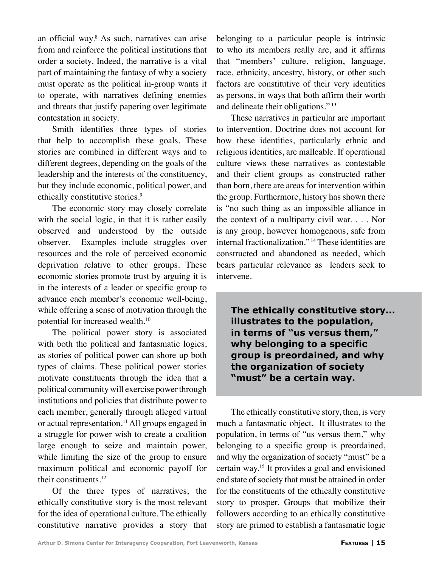an official way.8 As such, narratives can arise from and reinforce the political institutions that order a society. Indeed, the narrative is a vital part of maintaining the fantasy of why a society must operate as the political in-group wants it to operate, with narratives defining enemies and threats that justify papering over legitimate contestation in society.

Smith identifies three types of stories that help to accomplish these goals. These stories are combined in different ways and to different degrees, depending on the goals of the leadership and the interests of the constituency, but they include economic, political power, and ethically constitutive stories.<sup>9</sup>

The economic story may closely correlate with the social logic, in that it is rather easily observed and understood by the outside observer. Examples include struggles over resources and the role of perceived economic deprivation relative to other groups. These economic stories promote trust by arguing it is in the interests of a leader or specific group to advance each member's economic well-being, while offering a sense of motivation through the potential for increased wealth.10

The political power story is associated with both the political and fantasmatic logics, as stories of political power can shore up both types of claims. These political power stories motivate constituents through the idea that a political community will exercise power through institutions and policies that distribute power to each member, generally through alleged virtual or actual representation.<sup>11</sup> All groups engaged in a struggle for power wish to create a coalition large enough to seize and maintain power, while limiting the size of the group to ensure maximum political and economic payoff for their constituents.12

Of the three types of narratives, the ethically constitutive story is the most relevant for the idea of operational culture. The ethically constitutive narrative provides a story that belonging to a particular people is intrinsic to who its members really are, and it affirms that "members' culture, religion, language, race, ethnicity, ancestry, history, or other such factors are constitutive of their very identities as persons, in ways that both affirm their worth and delineate their obligations." 13

These narratives in particular are important to intervention. Doctrine does not account for how these identities, particularly ethnic and religious identities, are malleable. If operational culture views these narratives as contestable and their client groups as constructed rather than born, there are areas for intervention within the group. Furthermore, history has shown there is "no such thing as an impossible alliance in the context of a multiparty civil war. . . . Nor is any group, however homogenous, safe from internal fractionalization." 14 These identities are constructed and abandoned as needed, which bears particular relevance as leaders seek to intervene.

**The ethically constitutive story... illustrates to the population, in terms of "us versus them," why belonging to a specific group is preordained, and why the organization of society "must" be a certain way.**

The ethically constitutive story, then, is very much a fantasmatic object. It illustrates to the population, in terms of "us versus them," why belonging to a specific group is preordained, and why the organization of society "must" be a certain way.15 It provides a goal and envisioned end state of society that must be attained in order for the constituents of the ethically constitutive story to prosper. Groups that mobilize their followers according to an ethically constitutive story are primed to establish a fantasmatic logic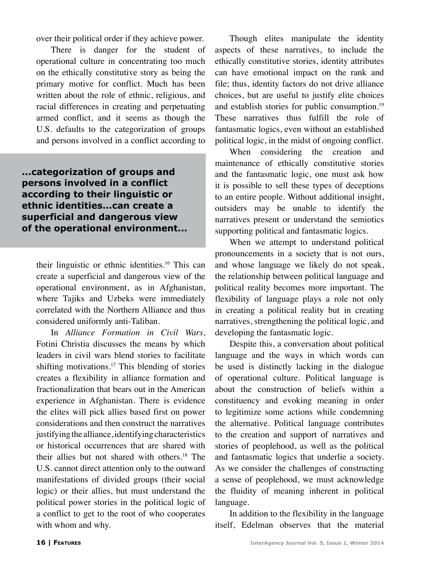over their political order if they achieve power.

There is danger for the student of operational culture in concentrating too much on the ethically constitutive story as being the primary motive for conflict. Much has been written about the role of ethnic, religious, and racial differences in creating and perpetuating armed conflict, and it seems as though the U.S. defaults to the categorization of groups and persons involved in a conflict according to

**...categorization of groups and persons involved in a conflict according to their linguistic or ethnic identities...can create a superficial and dangerous view of the operational environment...**

their linguistic or ethnic identities.<sup>16</sup> This can create a superficial and dangerous view of the operational environment, as in Afghanistan, where Tajiks and Uzbeks were immediately correlated with the Northern Alliance and thus considered uniformly anti-Taliban.

In *Alliance Formation in Civil Wars*, Fotini Christia discusses the means by which leaders in civil wars blend stories to facilitate shifting motivations.17 This blending of stories creates a flexibility in alliance formation and fractionalization that bears out in the American experience in Afghanistan. There is evidence the elites will pick allies based first on power considerations and then construct the narratives justifying the alliance, identifying characteristics or historical occurrences that are shared with their allies but not shared with others.18 The U.S. cannot direct attention only to the outward manifestations of divided groups (their social logic) or their allies, but must understand the political power stories in the political logic of a conflict to get to the root of who cooperates with whom and why.

Though elites manipulate the identity aspects of these narratives, to include the ethically constitutive stories, identity attributes can have emotional impact on the rank and file; thus, identity factors do not drive alliance choices, but are useful to justify elite choices and establish stories for public consumption.<sup>19</sup> These narratives thus fulfill the role of fantasmatic logics, even without an established political logic, in the midst of ongoing conflict.

When considering the creation and maintenance of ethically constitutive stories and the fantasmatic logic, one must ask how it is possible to sell these types of deceptions to an entire people. Without additional insight, outsiders may be unable to identify the narratives present or understand the semiotics supporting political and fantasmatic logics.

When we attempt to understand political pronouncements in a society that is not ours, and whose language we likely do not speak, the relationship between political language and political reality becomes more important. The flexibility of language plays a role not only in creating a political reality but in creating narratives, strengthening the political logic, and developing the fantasmatic logic.

Despite this, a conversation about political language and the ways in which words can be used is distinctly lacking in the dialogue of operational culture. Political language is about the construction of beliefs within a constituency and evoking meaning in order to legitimize some actions while condemning the alternative. Political language contributes to the creation and support of narratives and stories of peoplehood, as well as the political and fantasmatic logics that underlie a society. As we consider the challenges of constructing a sense of peoplehood, we must acknowledge the fluidity of meaning inherent in political language.

In addition to the flexibility in the language itself, Edelman observes that the material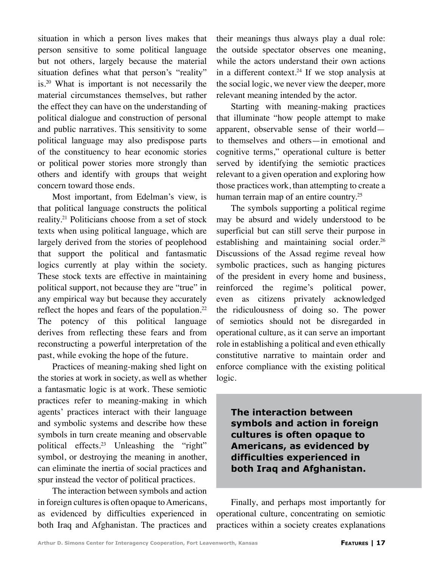situation in which a person lives makes that person sensitive to some political language but not others, largely because the material situation defines what that person's "reality" is.20 What is important is not necessarily the material circumstances themselves, but rather the effect they can have on the understanding of political dialogue and construction of personal and public narratives. This sensitivity to some political language may also predispose parts of the constituency to hear economic stories or political power stories more strongly than others and identify with groups that weight concern toward those ends.

Most important, from Edelman's view, is that political language constructs the political reality.21 Politicians choose from a set of stock texts when using political language, which are largely derived from the stories of peoplehood that support the political and fantasmatic logics currently at play within the society. These stock texts are effective in maintaining political support, not because they are "true" in any empirical way but because they accurately reflect the hopes and fears of the population. $22$ The potency of this political language derives from reflecting these fears and from reconstructing a powerful interpretation of the past, while evoking the hope of the future.

Practices of meaning-making shed light on the stories at work in society, as well as whether a fantasmatic logic is at work. These semiotic practices refer to meaning-making in which agents' practices interact with their language and symbolic systems and describe how these symbols in turn create meaning and observable political effects.<sup>23</sup> Unleashing the "right" symbol, or destroying the meaning in another, can eliminate the inertia of social practices and spur instead the vector of political practices.

The interaction between symbols and action in foreign cultures is often opaque to Americans, as evidenced by difficulties experienced in both Iraq and Afghanistan. The practices and

their meanings thus always play a dual role: the outside spectator observes one meaning, while the actors understand their own actions in a different context.<sup>24</sup> If we stop analysis at the social logic, we never view the deeper, more relevant meaning intended by the actor.

Starting with meaning-making practices that illuminate "how people attempt to make apparent, observable sense of their world to themselves and others—in emotional and cognitive terms," operational culture is better served by identifying the semiotic practices relevant to a given operation and exploring how those practices work, than attempting to create a human terrain map of an entire country.<sup>25</sup>

The symbols supporting a political regime may be absurd and widely understood to be superficial but can still serve their purpose in establishing and maintaining social order.<sup>26</sup> Discussions of the Assad regime reveal how symbolic practices, such as hanging pictures of the president in every home and business, reinforced the regime's political power, even as citizens privately acknowledged the ridiculousness of doing so. The power of semiotics should not be disregarded in operational culture, as it can serve an important role in establishing a political and even ethically constitutive narrative to maintain order and enforce compliance with the existing political logic.

**The interaction between symbols and action in foreign cultures is often opaque to Americans, as evidenced by difficulties experienced in both Iraq and Afghanistan.**

Finally, and perhaps most importantly for operational culture, concentrating on semiotic practices within a society creates explanations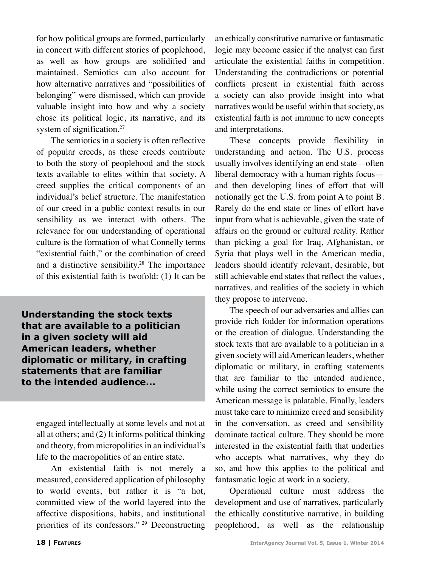for how political groups are formed, particularly in concert with different stories of peoplehood, as well as how groups are solidified and maintained. Semiotics can also account for how alternative narratives and "possibilities of belonging" were dismissed, which can provide valuable insight into how and why a society chose its political logic, its narrative, and its system of signification.<sup>27</sup>

The semiotics in a society is often reflective of popular creeds, as these creeds contribute to both the story of peoplehood and the stock texts available to elites within that society. A creed supplies the critical components of an individual's belief structure. The manifestation of our creed in a public context results in our sensibility as we interact with others. The relevance for our understanding of operational culture is the formation of what Connelly terms "existential faith," or the combination of creed and a distinctive sensibility.28 The importance of this existential faith is twofold: (1) It can be

**Understanding the stock texts that are available to a politician in a given society will aid American leaders, whether diplomatic or military, in crafting statements that are familiar to the intended audience...**

engaged intellectually at some levels and not at all at others; and (2) It informs political thinking and theory, from micropolitics in an individual's life to the macropolitics of an entire state.

An existential faith is not merely a measured, considered application of philosophy to world events, but rather it is "a hot, committed view of the world layered into the affective dispositions, habits, and institutional priorities of its confessors." 29 Deconstructing

an ethically constitutive narrative or fantasmatic logic may become easier if the analyst can first articulate the existential faiths in competition. Understanding the contradictions or potential conflicts present in existential faith across a society can also provide insight into what narratives would be useful within that society, as existential faith is not immune to new concepts and interpretations.

These concepts provide flexibility in understanding and action. The U.S. process usually involves identifying an end state—often liberal democracy with a human rights focus and then developing lines of effort that will notionally get the U.S. from point A to point B. Rarely do the end state or lines of effort have input from what is achievable, given the state of affairs on the ground or cultural reality. Rather than picking a goal for Iraq, Afghanistan, or Syria that plays well in the American media, leaders should identify relevant, desirable, but still achievable end states that reflect the values, narratives, and realities of the society in which they propose to intervene.

The speech of our adversaries and allies can provide rich fodder for information operations or the creation of dialogue. Understanding the stock texts that are available to a politician in a given society will aid American leaders, whether diplomatic or military, in crafting statements that are familiar to the intended audience, while using the correct semiotics to ensure the American message is palatable. Finally, leaders must take care to minimize creed and sensibility in the conversation, as creed and sensibility dominate tactical culture. They should be more interested in the existential faith that underlies who accepts what narratives, why they do so, and how this applies to the political and fantasmatic logic at work in a society.

Operational culture must address the development and use of narratives, particularly the ethically constitutive narrative, in building peoplehood, as well as the relationship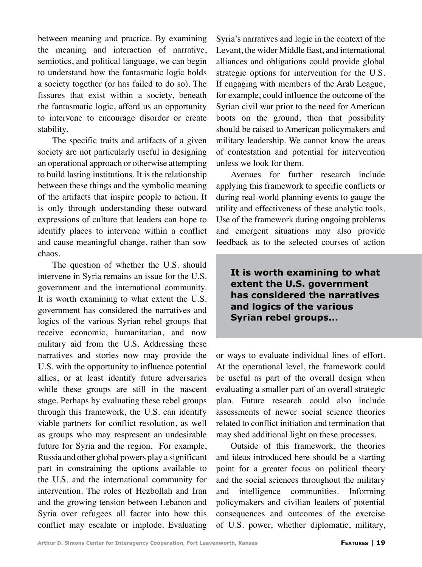between meaning and practice. By examining the meaning and interaction of narrative, semiotics, and political language, we can begin to understand how the fantasmatic logic holds a society together (or has failed to do so). The fissures that exist within a society, beneath the fantasmatic logic, afford us an opportunity to intervene to encourage disorder or create stability.

The specific traits and artifacts of a given society are not particularly useful in designing an operational approach or otherwise attempting to build lasting institutions. It is the relationship between these things and the symbolic meaning of the artifacts that inspire people to action. It is only through understanding these outward expressions of culture that leaders can hope to identify places to intervene within a conflict and cause meaningful change, rather than sow chaos.

The question of whether the U.S. should intervene in Syria remains an issue for the U.S. government and the international community. It is worth examining to what extent the U.S. government has considered the narratives and logics of the various Syrian rebel groups that receive economic, humanitarian, and now military aid from the U.S. Addressing these narratives and stories now may provide the U.S. with the opportunity to influence potential allies, or at least identify future adversaries while these groups are still in the nascent stage. Perhaps by evaluating these rebel groups through this framework, the U.S. can identify viable partners for conflict resolution, as well as groups who may respresent an undesirable future for Syria and the region. For example, Russia and other global powers play a significant part in constraining the options available to the U.S. and the international community for intervention. The roles of Hezbollah and Iran and the growing tension between Lebanon and Syria over refugees all factor into how this conflict may escalate or implode. Evaluating

Syria's narratives and logic in the context of the Levant, the wider Middle East, and international alliances and obligations could provide global strategic options for intervention for the U.S. If engaging with members of the Arab League, for example, could influence the outcome of the Syrian civil war prior to the need for American boots on the ground, then that possibility should be raised to American policymakers and military leadership. We cannot know the areas of contestation and potential for intervention unless we look for them.

Avenues for further research include applying this framework to specific conflicts or during real-world planning events to gauge the utility and effectiveness of these analytic tools. Use of the framework during ongoing problems and emergent situations may also provide feedback as to the selected courses of action

**It is worth examining to what extent the U.S. government has considered the narratives and logics of the various Syrian rebel groups...**

or ways to evaluate individual lines of effort. At the operational level, the framework could be useful as part of the overall design when evaluating a smaller part of an overall strategic plan. Future research could also include assessments of newer social science theories related to conflict initiation and termination that may shed additional light on these processes.

Outside of this framework, the theories and ideas introduced here should be a starting point for a greater focus on political theory and the social sciences throughout the military and intelligence communities. Informing policymakers and civilian leaders of potential consequences and outcomes of the exercise of U.S. power, whether diplomatic, military,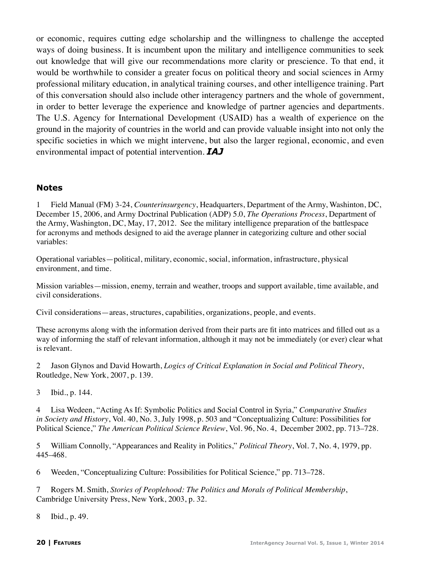or economic, requires cutting edge scholarship and the willingness to challenge the accepted ways of doing business. It is incumbent upon the military and intelligence communities to seek out knowledge that will give our recommendations more clarity or prescience. To that end, it would be worthwhile to consider a greater focus on political theory and social sciences in Army professional military education, in analytical training courses, and other intelligence training. Part of this conversation should also include other interagency partners and the whole of government, in order to better leverage the experience and knowledge of partner agencies and departments. The U.S. Agency for International Development (USAID) has a wealth of experience on the ground in the majority of countries in the world and can provide valuable insight into not only the specific societies in which we might intervene, but also the larger regional, economic, and even environmental impact of potential intervention. *IAJ*

#### **Notes**

1 Field Manual (FM) 3-24, *Counterinsurgency*, Headquarters, Department of the Army, Washinton, DC, December 15, 2006, and Army Doctrinal Publication (ADP) 5.0, *The Operations Process*, Department of the Army, Washington, DC, May, 17, 2012. See the military intelligence preparation of the battlespace for acronyms and methods designed to aid the average planner in categorizing culture and other social variables:

Operational variables—political, military, economic, social, information, infrastructure, physical environment, and time.

Mission variables—mission, enemy, terrain and weather, troops and support available, time available, and civil considerations.

Civil considerations—areas, structures, capabilities, organizations, people, and events.

These acronyms along with the information derived from their parts are fit into matrices and filled out as a way of informing the staff of relevant information, although it may not be immediately (or ever) clear what is relevant.

2 Jason Glynos and David Howarth, *Logics of Critical Explanation in Social and Political Theory*, Routledge, New York, 2007, p. 139.

3 Ibid., p. 144.

4 Lisa Wedeen, "Acting As If: Symbolic Politics and Social Control in Syria," *Comparative Studies in Society and History*, Vol. 40, No. 3, July 1998, p. 503 and "Conceptualizing Culture: Possibilities for Political Science," *The American Political Science Review*, Vol. 96, No. 4, December 2002, pp. 713–728.

5 William Connolly, "Appearances and Reality in Politics," *Political Theory*, Vol. 7, No. 4, 1979, pp. 445–468.

6 Weeden, "Conceptualizing Culture: Possibilities for Political Science," pp. 713–728.

7 Rogers M. Smith, *Stories of Peoplehood: The Politics and Morals of Political Membership*, Cambridge University Press, New York, 2003, p. 32.

8 Ibid., p. 49.